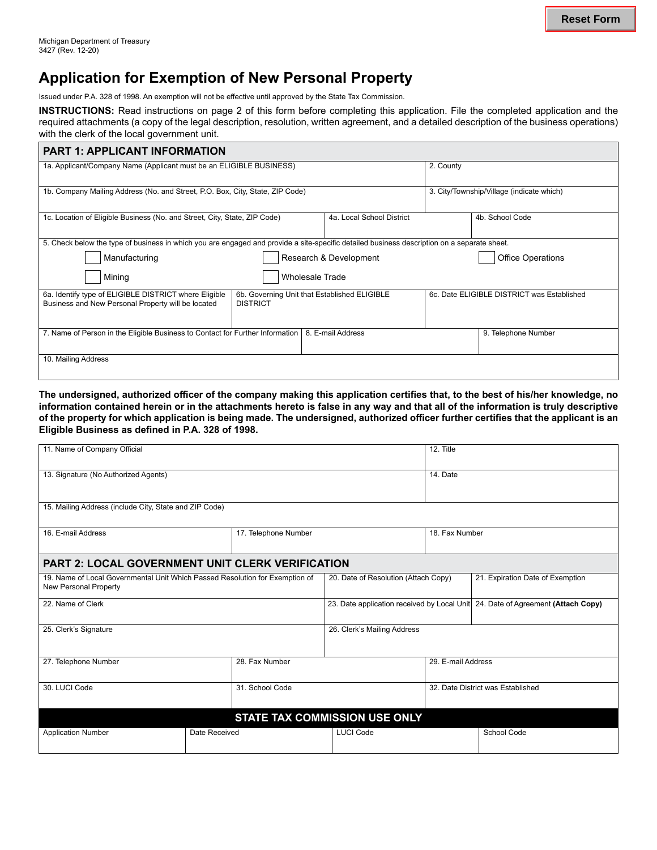## **Application for Exemption of New Personal Property**

Issued under P.A. 328 of 1998. An exemption will not be effective until approved by the State Tax Commission.

**INSTRUCTIONS:** Read instructions on page 2 of this form before completing this application. File the completed application and the required attachments (a copy of the legal description, resolution, written agreement, and a detailed description of the business operations) with the clerk of the local government unit.

| <b>PART 1: APPLICANT INFORMATION</b>                                                                                                        |                                              |                           |                                            |                                           |  |  |  |  |
|---------------------------------------------------------------------------------------------------------------------------------------------|----------------------------------------------|---------------------------|--------------------------------------------|-------------------------------------------|--|--|--|--|
| 1a. Applicant/Company Name (Applicant must be an ELIGIBLE BUSINESS)                                                                         |                                              |                           | 2. County                                  |                                           |  |  |  |  |
| 1b. Company Mailing Address (No. and Street, P.O. Box, City, State, ZIP Code)                                                               |                                              |                           |                                            | 3. City/Township/Village (indicate which) |  |  |  |  |
|                                                                                                                                             |                                              |                           |                                            |                                           |  |  |  |  |
| 1c. Location of Eligible Business (No. and Street, City, State, ZIP Code)                                                                   |                                              | 4a. Local School District | 4b. School Code                            |                                           |  |  |  |  |
|                                                                                                                                             |                                              |                           |                                            |                                           |  |  |  |  |
| 5. Check below the type of business in which you are engaged and provide a site-specific detailed business description on a separate sheet. |                                              |                           |                                            |                                           |  |  |  |  |
| Manufacturing                                                                                                                               | Research & Development                       |                           | <b>Office Operations</b>                   |                                           |  |  |  |  |
| Mining                                                                                                                                      | <b>Wholesale Trade</b>                       |                           |                                            |                                           |  |  |  |  |
| 6a. Identify type of ELIGIBLE DISTRICT where Eligible                                                                                       | 6b. Governing Unit that Established ELIGIBLE |                           | 6c. Date ELIGIBLE DISTRICT was Established |                                           |  |  |  |  |
| Business and New Personal Property will be located                                                                                          | <b>DISTRICT</b>                              |                           |                                            |                                           |  |  |  |  |
| 7. Name of Person in the Eligible Business to Contact for Further Information                                                               |                                              | 8. E-mail Address         |                                            | 9. Telephone Number                       |  |  |  |  |
| 10. Mailing Address                                                                                                                         |                                              |                           |                                            |                                           |  |  |  |  |

**The undersigned, authorized officer of the company making this application certifies that, to the best of his/her knowledge, no information contained herein or in the attachments hereto is false in any way and that all of the information is truly descriptive of the property for which application is being made. The undersigned, authorized officer further certifies that the applicant is an Eligible Business as defined in P.A. 328 of 1998.**

| 11. Name of Company Official                                                                          |  |                                                                                 |                               | 12. Title                         |             |  |  |  |
|-------------------------------------------------------------------------------------------------------|--|---------------------------------------------------------------------------------|-------------------------------|-----------------------------------|-------------|--|--|--|
| 13. Signature (No Authorized Agents)                                                                  |  |                                                                                 |                               |                                   | 14. Date    |  |  |  |
| 15. Mailing Address (include City, State and ZIP Code)                                                |  |                                                                                 |                               |                                   |             |  |  |  |
| 16. E-mail Address                                                                                    |  | 17. Telephone Number                                                            |                               | 18. Fax Number                    |             |  |  |  |
| <b>PART 2: LOCAL GOVERNMENT UNIT CLERK VERIFICATION</b>                                               |  |                                                                                 |                               |                                   |             |  |  |  |
| 19. Name of Local Governmental Unit Which Passed Resolution for Exemption of<br>New Personal Property |  | 20. Date of Resolution (Attach Copy)                                            |                               | 21. Expiration Date of Exemption  |             |  |  |  |
| 22. Name of Clerk                                                                                     |  | 23. Date application received by Local Unit 24. Date of Agreement (Attach Copy) |                               |                                   |             |  |  |  |
| 25. Clerk's Signature                                                                                 |  | 26. Clerk's Mailing Address                                                     |                               |                                   |             |  |  |  |
| 27. Telephone Number                                                                                  |  | 28. Fax Number                                                                  |                               | 29. E-mail Address                |             |  |  |  |
| 30. LUCI Code                                                                                         |  | 31. School Code                                                                 |                               | 32. Date District was Established |             |  |  |  |
|                                                                                                       |  |                                                                                 | STATE TAX COMMISSION USE ONLY |                                   |             |  |  |  |
| <b>Application Number</b><br>Date Received                                                            |  |                                                                                 | LUCI Code                     |                                   | School Code |  |  |  |